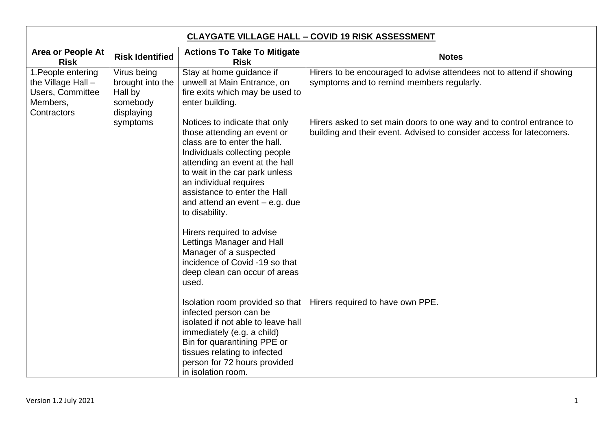| <b>CLAYGATE VILLAGE HALL - COVID 19 RISK ASSESSMENT</b>                                        |                                                                      |                                                                                                                                                                                                                                                                                                                   |                                                                                                                                              |  |
|------------------------------------------------------------------------------------------------|----------------------------------------------------------------------|-------------------------------------------------------------------------------------------------------------------------------------------------------------------------------------------------------------------------------------------------------------------------------------------------------------------|----------------------------------------------------------------------------------------------------------------------------------------------|--|
| <b>Area or People At</b><br><b>Risk</b>                                                        | <b>Risk Identified</b>                                               | <b>Actions To Take To Mitigate</b><br><b>Risk</b>                                                                                                                                                                                                                                                                 | <b>Notes</b>                                                                                                                                 |  |
| 1. People entering<br>the Village Hall -<br><b>Users, Committee</b><br>Members,<br>Contractors | Virus being<br>brought into the<br>Hall by<br>somebody<br>displaying | Stay at home guidance if<br>unwell at Main Entrance, on<br>fire exits which may be used to<br>enter building.                                                                                                                                                                                                     | Hirers to be encouraged to advise attendees not to attend if showing<br>symptoms and to remind members regularly.                            |  |
|                                                                                                | symptoms                                                             | Notices to indicate that only<br>those attending an event or<br>class are to enter the hall.<br>Individuals collecting people<br>attending an event at the hall<br>to wait in the car park unless<br>an individual requires<br>assistance to enter the Hall<br>and attend an event $-$ e.g. due<br>to disability. | Hirers asked to set main doors to one way and to control entrance to<br>building and their event. Advised to consider access for latecomers. |  |
|                                                                                                |                                                                      | Hirers required to advise<br>Lettings Manager and Hall<br>Manager of a suspected<br>incidence of Covid -19 so that<br>deep clean can occur of areas<br>used.                                                                                                                                                      |                                                                                                                                              |  |
|                                                                                                |                                                                      | Isolation room provided so that<br>infected person can be<br>isolated if not able to leave hall<br>immediately (e.g. a child)<br>Bin for quarantining PPE or<br>tissues relating to infected<br>person for 72 hours provided<br>in isolation room.                                                                | Hirers required to have own PPE.                                                                                                             |  |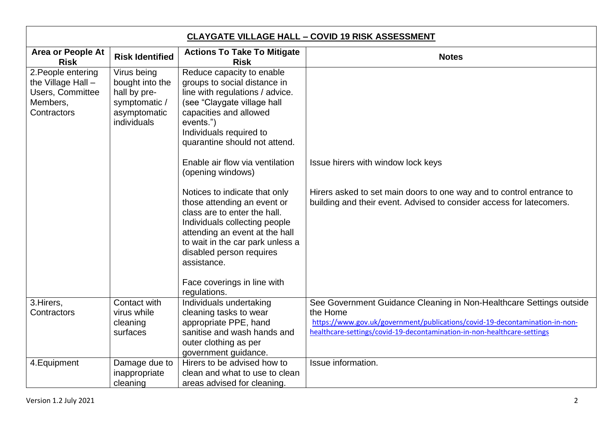| <b>CLAYGATE VILLAGE HALL - COVID 19 RISK ASSESSMENT</b>                                        |                                                                                                |                                                                                                                                                                                                                                                                                               |                                                                                                                                                                                                                                           |
|------------------------------------------------------------------------------------------------|------------------------------------------------------------------------------------------------|-----------------------------------------------------------------------------------------------------------------------------------------------------------------------------------------------------------------------------------------------------------------------------------------------|-------------------------------------------------------------------------------------------------------------------------------------------------------------------------------------------------------------------------------------------|
| <b>Area or People At</b><br><b>Risk</b>                                                        | <b>Risk Identified</b>                                                                         | <b>Actions To Take To Mitigate</b><br><b>Risk</b>                                                                                                                                                                                                                                             | <b>Notes</b>                                                                                                                                                                                                                              |
| 2. People entering<br>the Village Hall -<br><b>Users, Committee</b><br>Members,<br>Contractors | Virus being<br>bought into the<br>hall by pre-<br>symptomatic /<br>asymptomatic<br>individuals | Reduce capacity to enable<br>groups to social distance in<br>line with regulations / advice.<br>(see "Claygate village hall<br>capacities and allowed<br>events.")<br>Individuals required to<br>quarantine should not attend.<br>Enable air flow via ventilation<br>(opening windows)        | Issue hirers with window lock keys                                                                                                                                                                                                        |
|                                                                                                |                                                                                                | Notices to indicate that only<br>those attending an event or<br>class are to enter the hall.<br>Individuals collecting people<br>attending an event at the hall<br>to wait in the car park unless a<br>disabled person requires<br>assistance.<br>Face coverings in line with<br>regulations. | Hirers asked to set main doors to one way and to control entrance to<br>building and their event. Advised to consider access for latecomers.                                                                                              |
| 3. Hirers,<br>Contractors                                                                      | Contact with<br>virus while<br>cleaning<br>surfaces                                            | Individuals undertaking<br>cleaning tasks to wear<br>appropriate PPE, hand<br>sanitise and wash hands and<br>outer clothing as per<br>government guidance.                                                                                                                                    | See Government Guidance Cleaning in Non-Healthcare Settings outside<br>the Home<br>https://www.gov.uk/government/publications/covid-19-decontamination-in-non-<br>healthcare-settings/covid-19-decontamination-in-non-healthcare-settings |
| 4. Equipment                                                                                   | Damage due to<br>inappropriate<br>cleaning                                                     | Hirers to be advised how to<br>clean and what to use to clean<br>areas advised for cleaning.                                                                                                                                                                                                  | Issue information.                                                                                                                                                                                                                        |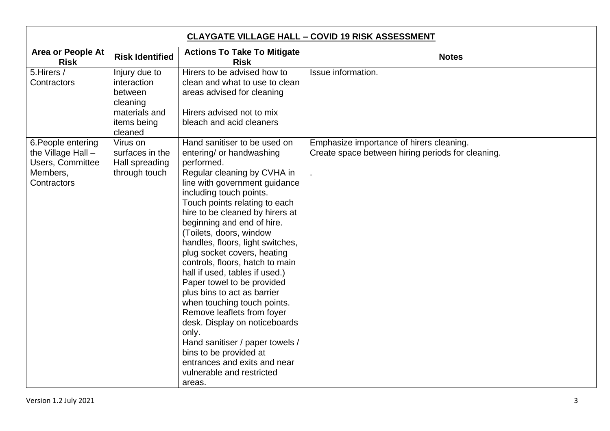| <b>CLAYGATE VILLAGE HALL - COVID 19 RISK ASSESSMENT</b>                                        |                                                                                                |                                                                                                                                                                                                                                                                                                                                                                                                                                                                                                                                                                                                                                                                                                                                                |                                                                                               |  |
|------------------------------------------------------------------------------------------------|------------------------------------------------------------------------------------------------|------------------------------------------------------------------------------------------------------------------------------------------------------------------------------------------------------------------------------------------------------------------------------------------------------------------------------------------------------------------------------------------------------------------------------------------------------------------------------------------------------------------------------------------------------------------------------------------------------------------------------------------------------------------------------------------------------------------------------------------------|-----------------------------------------------------------------------------------------------|--|
| <b>Area or People At</b><br><b>Risk</b>                                                        | <b>Risk Identified</b>                                                                         | <b>Actions To Take To Mitigate</b><br><b>Risk</b>                                                                                                                                                                                                                                                                                                                                                                                                                                                                                                                                                                                                                                                                                              | <b>Notes</b>                                                                                  |  |
| 5. Hirers /<br>Contractors                                                                     | Injury due to<br>interaction<br>between<br>cleaning<br>materials and<br>items being<br>cleaned | Hirers to be advised how to<br>clean and what to use to clean<br>areas advised for cleaning<br>Hirers advised not to mix<br>bleach and acid cleaners                                                                                                                                                                                                                                                                                                                                                                                                                                                                                                                                                                                           | Issue information.                                                                            |  |
| 6. People entering<br>the Village Hall -<br><b>Users, Committee</b><br>Members,<br>Contractors | Virus on<br>surfaces in the<br>Hall spreading<br>through touch                                 | Hand sanitiser to be used on<br>entering/ or handwashing<br>performed.<br>Regular cleaning by CVHA in<br>line with government guidance<br>including touch points.<br>Touch points relating to each<br>hire to be cleaned by hirers at<br>beginning and end of hire.<br>(Toilets, doors, window<br>handles, floors, light switches,<br>plug socket covers, heating<br>controls, floors, hatch to main<br>hall if used, tables if used.)<br>Paper towel to be provided<br>plus bins to act as barrier<br>when touching touch points.<br>Remove leaflets from foyer<br>desk. Display on noticeboards<br>only.<br>Hand sanitiser / paper towels /<br>bins to be provided at<br>entrances and exits and near<br>vulnerable and restricted<br>areas. | Emphasize importance of hirers cleaning.<br>Create space between hiring periods for cleaning. |  |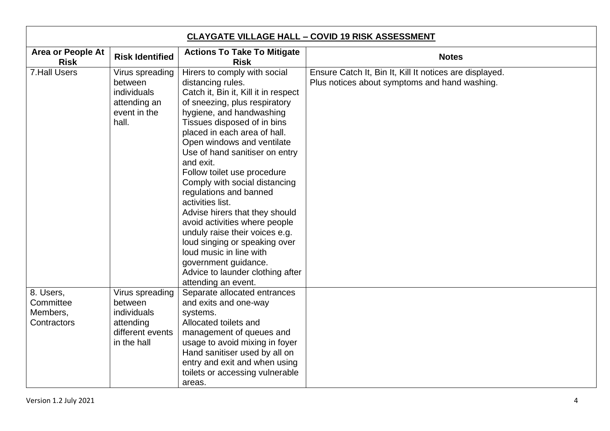| <b>CLAYGATE VILLAGE HALL - COVID 19 RISK ASSESSMENT</b> |                                                                                           |                                                                                                                                                                                                                                                                                                                                                                                                                                                                                                                                                                                                                                                                      |                                                                                                          |
|---------------------------------------------------------|-------------------------------------------------------------------------------------------|----------------------------------------------------------------------------------------------------------------------------------------------------------------------------------------------------------------------------------------------------------------------------------------------------------------------------------------------------------------------------------------------------------------------------------------------------------------------------------------------------------------------------------------------------------------------------------------------------------------------------------------------------------------------|----------------------------------------------------------------------------------------------------------|
| <b>Area or People At</b><br><b>Risk</b>                 | <b>Risk Identified</b>                                                                    | <b>Actions To Take To Mitigate</b><br><b>Risk</b>                                                                                                                                                                                                                                                                                                                                                                                                                                                                                                                                                                                                                    | <b>Notes</b>                                                                                             |
| <b>7.Hall Users</b>                                     | Virus spreading<br>between<br>individuals<br>attending an<br>event in the<br>hall.        | Hirers to comply with social<br>distancing rules.<br>Catch it, Bin it, Kill it in respect<br>of sneezing, plus respiratory<br>hygiene, and handwashing<br>Tissues disposed of in bins<br>placed in each area of hall.<br>Open windows and ventilate<br>Use of hand sanitiser on entry<br>and exit.<br>Follow toilet use procedure<br>Comply with social distancing<br>regulations and banned<br>activities list.<br>Advise hirers that they should<br>avoid activities where people<br>unduly raise their voices e.g.<br>loud singing or speaking over<br>loud music in line with<br>government guidance.<br>Advice to launder clothing after<br>attending an event. | Ensure Catch It, Bin It, Kill It notices are displayed.<br>Plus notices about symptoms and hand washing. |
| 8. Users,<br>Committee<br>Members,<br>Contractors       | Virus spreading<br>between<br>individuals<br>attending<br>different events<br>in the hall | Separate allocated entrances<br>and exits and one-way<br>systems.<br>Allocated toilets and<br>management of queues and<br>usage to avoid mixing in foyer<br>Hand sanitiser used by all on<br>entry and exit and when using<br>toilets or accessing vulnerable<br>areas.                                                                                                                                                                                                                                                                                                                                                                                              |                                                                                                          |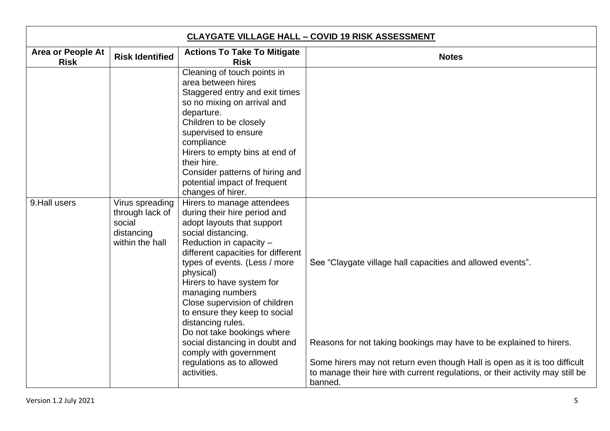| <b>CLAYGATE VILLAGE HALL - COVID 19 RISK ASSESSMENT</b> |                                                                               |                                                                                                                                                                                                                                                                                                                                                                                                                                                                                                             |                                                                                                                                                                                                                                                                                                             |
|---------------------------------------------------------|-------------------------------------------------------------------------------|-------------------------------------------------------------------------------------------------------------------------------------------------------------------------------------------------------------------------------------------------------------------------------------------------------------------------------------------------------------------------------------------------------------------------------------------------------------------------------------------------------------|-------------------------------------------------------------------------------------------------------------------------------------------------------------------------------------------------------------------------------------------------------------------------------------------------------------|
| <b>Area or People At</b><br><b>Risk</b>                 | <b>Risk Identified</b>                                                        | <b>Actions To Take To Mitigate</b><br><b>Risk</b>                                                                                                                                                                                                                                                                                                                                                                                                                                                           | <b>Notes</b>                                                                                                                                                                                                                                                                                                |
|                                                         |                                                                               | Cleaning of touch points in<br>area between hires<br>Staggered entry and exit times<br>so no mixing on arrival and<br>departure.<br>Children to be closely<br>supervised to ensure<br>compliance<br>Hirers to empty bins at end of<br>their hire.<br>Consider patterns of hiring and<br>potential impact of frequent<br>changes of hirer.                                                                                                                                                                   |                                                                                                                                                                                                                                                                                                             |
| 9. Hall users                                           | Virus spreading<br>through lack of<br>social<br>distancing<br>within the hall | Hirers to manage attendees<br>during their hire period and<br>adopt layouts that support<br>social distancing.<br>Reduction in capacity -<br>different capacities for different<br>types of events. (Less / more<br>physical)<br>Hirers to have system for<br>managing numbers<br>Close supervision of children<br>to ensure they keep to social<br>distancing rules.<br>Do not take bookings where<br>social distancing in doubt and<br>comply with government<br>regulations as to allowed<br>activities. | See "Claygate village hall capacities and allowed events".<br>Reasons for not taking bookings may have to be explained to hirers.<br>Some hirers may not return even though Hall is open as it is too difficult<br>to manage their hire with current regulations, or their activity may still be<br>banned. |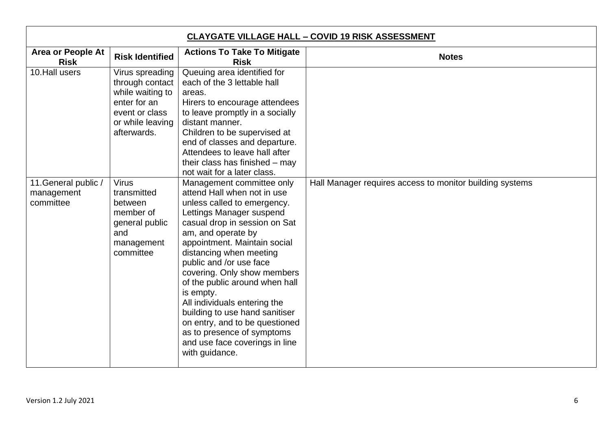| <b>CLAYGATE VILLAGE HALL - COVID 19 RISK ASSESSMENT</b> |                                                                                                                             |                                                                                                                                                                                                                                                                                                                                                                                                                                                                                                                                      |                                                          |
|---------------------------------------------------------|-----------------------------------------------------------------------------------------------------------------------------|--------------------------------------------------------------------------------------------------------------------------------------------------------------------------------------------------------------------------------------------------------------------------------------------------------------------------------------------------------------------------------------------------------------------------------------------------------------------------------------------------------------------------------------|----------------------------------------------------------|
| <b>Area or People At</b><br><b>Risk</b>                 | <b>Risk Identified</b>                                                                                                      | <b>Actions To Take To Mitigate</b><br><b>Risk</b>                                                                                                                                                                                                                                                                                                                                                                                                                                                                                    | <b>Notes</b>                                             |
| 10. Hall users                                          | Virus spreading<br>through contact<br>while waiting to<br>enter for an<br>event or class<br>or while leaving<br>afterwards. | Queuing area identified for<br>each of the 3 lettable hall<br>areas.<br>Hirers to encourage attendees<br>to leave promptly in a socially<br>distant manner.<br>Children to be supervised at<br>end of classes and departure.<br>Attendees to leave hall after<br>their class has finished - may<br>not wait for a later class.                                                                                                                                                                                                       |                                                          |
| 11. General public /<br>management<br>committee         | <b>Virus</b><br>transmitted<br>between<br>member of<br>general public<br>and<br>management<br>committee                     | Management committee only<br>attend Hall when not in use<br>unless called to emergency.<br>Lettings Manager suspend<br>casual drop in session on Sat<br>am, and operate by<br>appointment. Maintain social<br>distancing when meeting<br>public and /or use face<br>covering. Only show members<br>of the public around when hall<br>is empty.<br>All individuals entering the<br>building to use hand sanitiser<br>on entry, and to be questioned<br>as to presence of symptoms<br>and use face coverings in line<br>with guidance. | Hall Manager requires access to monitor building systems |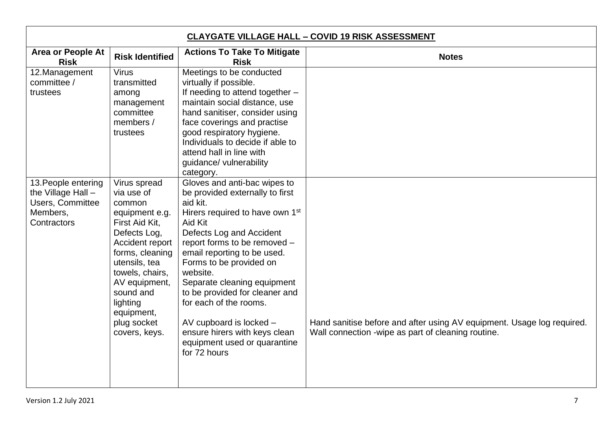| <b>CLAYGATE VILLAGE HALL - COVID 19 RISK ASSESSMENT</b>                                         |                                                                                                                                                                                                                                                            |                                                                                                                                                                                                                                                                                                                                                                                                                                                                                |                                                                                                                              |
|-------------------------------------------------------------------------------------------------|------------------------------------------------------------------------------------------------------------------------------------------------------------------------------------------------------------------------------------------------------------|--------------------------------------------------------------------------------------------------------------------------------------------------------------------------------------------------------------------------------------------------------------------------------------------------------------------------------------------------------------------------------------------------------------------------------------------------------------------------------|------------------------------------------------------------------------------------------------------------------------------|
| <b>Area or People At</b><br><b>Risk</b>                                                         | <b>Risk Identified</b>                                                                                                                                                                                                                                     | <b>Actions To Take To Mitigate</b><br><b>Risk</b>                                                                                                                                                                                                                                                                                                                                                                                                                              | <b>Notes</b>                                                                                                                 |
| 12. Management<br>committee /<br>trustees                                                       | <b>Virus</b><br>transmitted<br>among<br>management<br>committee<br>members /<br>trustees                                                                                                                                                                   | Meetings to be conducted<br>virtually if possible.<br>If needing to attend together -<br>maintain social distance, use<br>hand sanitiser, consider using<br>face coverings and practise<br>good respiratory hygiene.<br>Individuals to decide if able to<br>attend hall in line with<br>guidance/ vulnerability<br>category.                                                                                                                                                   |                                                                                                                              |
| 13. People entering<br>the Village Hall -<br><b>Users, Committee</b><br>Members,<br>Contractors | Virus spread<br>via use of<br>common<br>equipment e.g.<br>First Aid Kit,<br>Defects Log,<br>Accident report<br>forms, cleaning<br>utensils, tea<br>towels, chairs,<br>AV equipment,<br>sound and<br>lighting<br>equipment,<br>plug socket<br>covers, keys. | Gloves and anti-bac wipes to<br>be provided externally to first<br>aid kit.<br>Hirers required to have own 1 <sup>st</sup><br>Aid Kit<br>Defects Log and Accident<br>report forms to be removed -<br>email reporting to be used.<br>Forms to be provided on<br>website.<br>Separate cleaning equipment<br>to be provided for cleaner and<br>for each of the rooms.<br>AV cupboard is locked -<br>ensure hirers with keys clean<br>equipment used or quarantine<br>for 72 hours | Hand sanitise before and after using AV equipment. Usage log required.<br>Wall connection -wipe as part of cleaning routine. |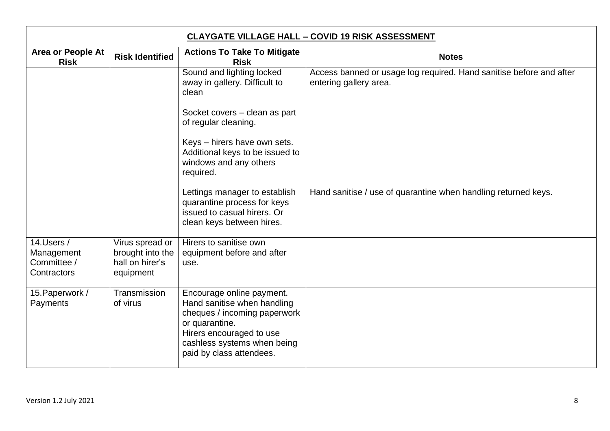| <b>CLAYGATE VILLAGE HALL - COVID 19 RISK ASSESSMENT</b> |                                                                     |                                                                                                                                                                                                   |                                                                                               |
|---------------------------------------------------------|---------------------------------------------------------------------|---------------------------------------------------------------------------------------------------------------------------------------------------------------------------------------------------|-----------------------------------------------------------------------------------------------|
| <b>Area or People At</b><br><b>Risk</b>                 | <b>Risk Identified</b>                                              | <b>Actions To Take To Mitigate</b><br><b>Risk</b>                                                                                                                                                 | <b>Notes</b>                                                                                  |
|                                                         |                                                                     | Sound and lighting locked<br>away in gallery. Difficult to<br>clean                                                                                                                               | Access banned or usage log required. Hand sanitise before and after<br>entering gallery area. |
|                                                         |                                                                     | Socket covers – clean as part<br>of regular cleaning.                                                                                                                                             |                                                                                               |
|                                                         |                                                                     | Keys - hirers have own sets.<br>Additional keys to be issued to<br>windows and any others<br>required.                                                                                            |                                                                                               |
|                                                         |                                                                     | Lettings manager to establish<br>quarantine process for keys<br>issued to casual hirers. Or<br>clean keys between hires.                                                                          | Hand sanitise / use of quarantine when handling returned keys.                                |
| 14.Users /<br>Management<br>Committee /<br>Contractors  | Virus spread or<br>brought into the<br>hall on hirer's<br>equipment | Hirers to sanitise own<br>equipment before and after<br>use.                                                                                                                                      |                                                                                               |
| 15. Paperwork /<br>Payments                             | Transmission<br>of virus                                            | Encourage online payment.<br>Hand sanitise when handling<br>cheques / incoming paperwork<br>or quarantine.<br>Hirers encouraged to use<br>cashless systems when being<br>paid by class attendees. |                                                                                               |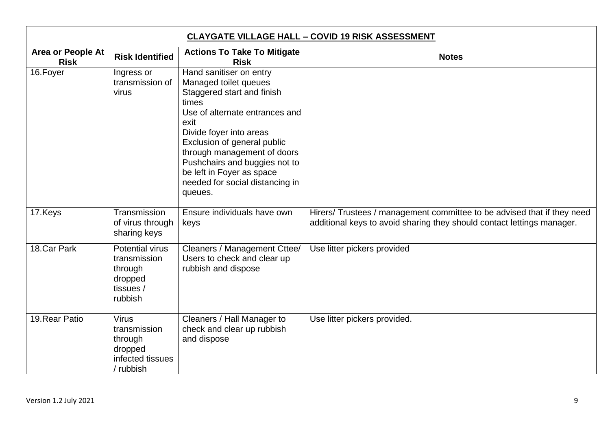| <b>CLAYGATE VILLAGE HALL - COVID 19 RISK ASSESSMENT</b> |                                                                                      |                                                                                                                                                                                                                                                                                                                                        |                                                                                                                                                   |
|---------------------------------------------------------|--------------------------------------------------------------------------------------|----------------------------------------------------------------------------------------------------------------------------------------------------------------------------------------------------------------------------------------------------------------------------------------------------------------------------------------|---------------------------------------------------------------------------------------------------------------------------------------------------|
| <b>Area or People At</b><br><b>Risk</b>                 | <b>Risk Identified</b>                                                               | <b>Actions To Take To Mitigate</b><br><b>Risk</b>                                                                                                                                                                                                                                                                                      | <b>Notes</b>                                                                                                                                      |
| 16. Foyer                                               | Ingress or<br>transmission of<br>virus                                               | Hand sanitiser on entry<br>Managed toilet queues<br>Staggered start and finish<br>times<br>Use of alternate entrances and<br>exit<br>Divide foyer into areas<br>Exclusion of general public<br>through management of doors<br>Pushchairs and buggies not to<br>be left in Foyer as space<br>needed for social distancing in<br>queues. |                                                                                                                                                   |
| 17.Keys                                                 | Transmission<br>of virus through<br>sharing keys                                     | Ensure individuals have own<br>keys                                                                                                                                                                                                                                                                                                    | Hirers/ Trustees / management committee to be advised that if they need<br>additional keys to avoid sharing they should contact lettings manager. |
| 18.Car Park                                             | <b>Potential virus</b><br>transmission<br>through<br>dropped<br>tissues /<br>rubbish | Cleaners / Management Cttee/<br>Users to check and clear up<br>rubbish and dispose                                                                                                                                                                                                                                                     | Use litter pickers provided                                                                                                                       |
| 19. Rear Patio                                          | <b>Virus</b><br>transmission<br>through<br>dropped<br>infected tissues<br>/ rubbish  | Cleaners / Hall Manager to<br>check and clear up rubbish<br>and dispose                                                                                                                                                                                                                                                                | Use litter pickers provided.                                                                                                                      |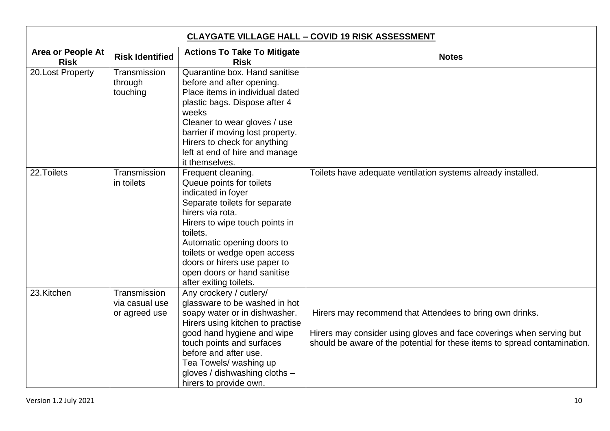| <b>CLAYGATE VILLAGE HALL - COVID 19 RISK ASSESSMENT</b> |                                                 |                                                                                                                                                                                                                                                                                                                                |                                                                                                                                                                                                               |
|---------------------------------------------------------|-------------------------------------------------|--------------------------------------------------------------------------------------------------------------------------------------------------------------------------------------------------------------------------------------------------------------------------------------------------------------------------------|---------------------------------------------------------------------------------------------------------------------------------------------------------------------------------------------------------------|
| <b>Area or People At</b><br><b>Risk</b>                 | <b>Risk Identified</b>                          | <b>Actions To Take To Mitigate</b><br><b>Risk</b>                                                                                                                                                                                                                                                                              | <b>Notes</b>                                                                                                                                                                                                  |
| 20.Lost Property                                        | Transmission<br>through<br>touching             | Quarantine box. Hand sanitise<br>before and after opening.<br>Place items in individual dated<br>plastic bags. Dispose after 4<br>weeks<br>Cleaner to wear gloves / use<br>barrier if moving lost property.<br>Hirers to check for anything<br>left at end of hire and manage<br>it themselves.                                |                                                                                                                                                                                                               |
| 22. Toilets                                             | Transmission<br>in toilets                      | Frequent cleaning.<br>Queue points for toilets<br>indicated in foyer<br>Separate toilets for separate<br>hirers via rota.<br>Hirers to wipe touch points in<br>toilets.<br>Automatic opening doors to<br>toilets or wedge open access<br>doors or hirers use paper to<br>open doors or hand sanitise<br>after exiting toilets. | Toilets have adequate ventilation systems already installed.                                                                                                                                                  |
| 23.Kitchen                                              | Transmission<br>via casual use<br>or agreed use | Any crockery / cutlery/<br>glassware to be washed in hot<br>soapy water or in dishwasher.<br>Hirers using kitchen to practise<br>good hand hygiene and wipe<br>touch points and surfaces<br>before and after use.<br>Tea Towels/ washing up<br>gloves / dishwashing cloths -<br>hirers to provide own.                         | Hirers may recommend that Attendees to bring own drinks.<br>Hirers may consider using gloves and face coverings when serving but<br>should be aware of the potential for these items to spread contamination. |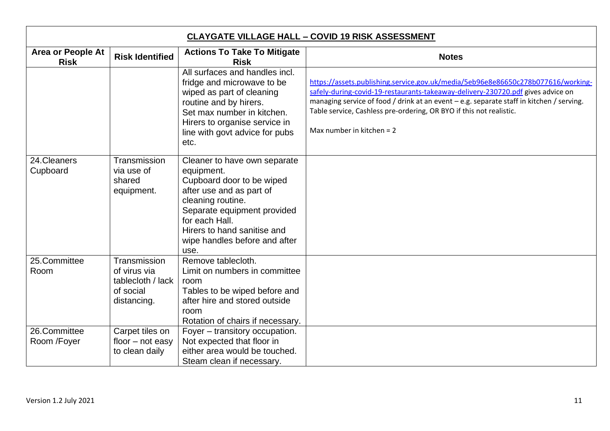| <b>CLAYGATE VILLAGE HALL - COVID 19 RISK ASSESSMENT</b> |                                                                               |                                                                                                                                                                                                                                                   |                                                                                                                                                                                                                                                                                                                                                                       |
|---------------------------------------------------------|-------------------------------------------------------------------------------|---------------------------------------------------------------------------------------------------------------------------------------------------------------------------------------------------------------------------------------------------|-----------------------------------------------------------------------------------------------------------------------------------------------------------------------------------------------------------------------------------------------------------------------------------------------------------------------------------------------------------------------|
| <b>Area or People At</b><br><b>Risk</b>                 | <b>Risk Identified</b>                                                        | <b>Actions To Take To Mitigate</b><br><b>Risk</b>                                                                                                                                                                                                 | <b>Notes</b>                                                                                                                                                                                                                                                                                                                                                          |
|                                                         |                                                                               | All surfaces and handles incl.<br>fridge and microwave to be<br>wiped as part of cleaning<br>routine and by hirers.<br>Set max number in kitchen.<br>Hirers to organise service in<br>line with govt advice for pubs<br>etc.                      | https://assets.publishing.service.gov.uk/media/5eb96e8e86650c278b077616/working-<br>safely-during-covid-19-restaurants-takeaway-delivery-230720.pdf gives advice on<br>managing service of food / drink at an event - e.g. separate staff in kitchen / serving.<br>Table service, Cashless pre-ordering, OR BYO if this not realistic.<br>Max number in kitchen = $2$ |
| 24. Cleaners<br>Cupboard                                | Transmission<br>via use of<br>shared<br>equipment.                            | Cleaner to have own separate<br>equipment.<br>Cupboard door to be wiped<br>after use and as part of<br>cleaning routine.<br>Separate equipment provided<br>for each Hall.<br>Hirers to hand sanitise and<br>wipe handles before and after<br>use. |                                                                                                                                                                                                                                                                                                                                                                       |
| 25.Committee<br>Room                                    | Transmission<br>of virus via<br>tablecloth / lack<br>of social<br>distancing. | Remove tablecloth.<br>Limit on numbers in committee<br>room<br>Tables to be wiped before and<br>after hire and stored outside<br>room<br>Rotation of chairs if necessary.                                                                         |                                                                                                                                                                                                                                                                                                                                                                       |
| 26.Committee<br>Room /Foyer                             | Carpet tiles on<br>floor $-$ not easy<br>to clean daily                       | Foyer – transitory occupation.<br>Not expected that floor in<br>either area would be touched.<br>Steam clean if necessary.                                                                                                                        |                                                                                                                                                                                                                                                                                                                                                                       |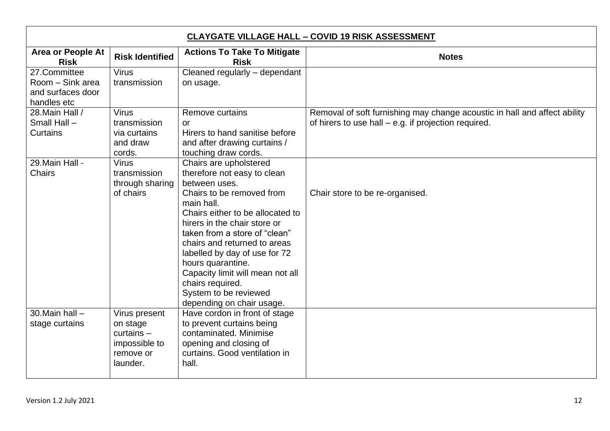| <b>CLAYGATE VILLAGE HALL - COVID 19 RISK ASSESSMENT</b>              |                                                                                     |                                                                                                                                                                                                                                                                                                                                                                                                                            |                                                                                                                                   |
|----------------------------------------------------------------------|-------------------------------------------------------------------------------------|----------------------------------------------------------------------------------------------------------------------------------------------------------------------------------------------------------------------------------------------------------------------------------------------------------------------------------------------------------------------------------------------------------------------------|-----------------------------------------------------------------------------------------------------------------------------------|
| <b>Area or People At</b><br><b>Risk</b>                              | <b>Risk Identified</b>                                                              | <b>Actions To Take To Mitigate</b><br><b>Risk</b>                                                                                                                                                                                                                                                                                                                                                                          | <b>Notes</b>                                                                                                                      |
| 27.Committee<br>Room - Sink area<br>and surfaces door<br>handles etc | <b>Virus</b><br>transmission                                                        | Cleaned regularly - dependant<br>on usage.                                                                                                                                                                                                                                                                                                                                                                                 |                                                                                                                                   |
| 28. Main Hall /<br>Small Hall -<br><b>Curtains</b>                   | <b>Virus</b><br>transmission<br>via curtains<br>and draw<br>cords.                  | <b>Remove curtains</b><br>$\alpha$<br>Hirers to hand sanitise before<br>and after drawing curtains /<br>touching draw cords.                                                                                                                                                                                                                                                                                               | Removal of soft furnishing may change acoustic in hall and affect ability<br>of hirers to use hall – e.g. if projection required. |
| 29. Main Hall -<br><b>Chairs</b>                                     | <b>Virus</b><br>transmission<br>through sharing<br>of chairs                        | Chairs are upholstered<br>therefore not easy to clean<br>between uses.<br>Chairs to be removed from<br>main hall.<br>Chairs either to be allocated to<br>hirers in the chair store or<br>taken from a store of "clean"<br>chairs and returned to areas<br>labelled by day of use for 72<br>hours quarantine.<br>Capacity limit will mean not all<br>chairs required.<br>System to be reviewed<br>depending on chair usage. | Chair store to be re-organised.                                                                                                   |
| 30. Main hall $-$<br>stage curtains                                  | Virus present<br>on stage<br>$curtains -$<br>impossible to<br>remove or<br>launder. | Have cordon in front of stage<br>to prevent curtains being<br>contaminated. Minimise<br>opening and closing of<br>curtains. Good ventilation in<br>hall.                                                                                                                                                                                                                                                                   |                                                                                                                                   |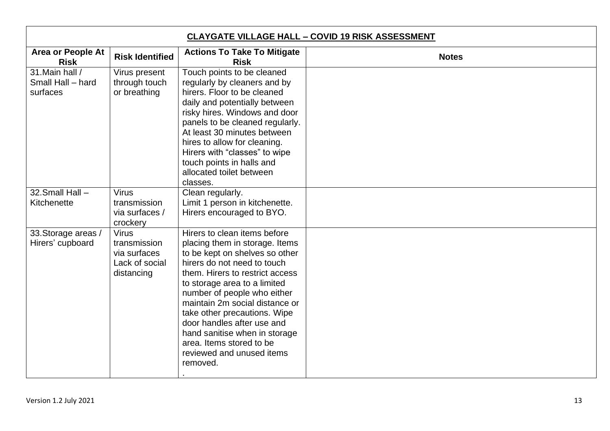| <b>CLAYGATE VILLAGE HALL - COVID 19 RISK ASSESSMENT</b> |                                                                              |                                                                                                                                                                                                                                                                                                                                                                                                                                         |              |
|---------------------------------------------------------|------------------------------------------------------------------------------|-----------------------------------------------------------------------------------------------------------------------------------------------------------------------------------------------------------------------------------------------------------------------------------------------------------------------------------------------------------------------------------------------------------------------------------------|--------------|
| <b>Area or People At</b><br><b>Risk</b>                 | <b>Risk Identified</b>                                                       | <b>Actions To Take To Mitigate</b><br><b>Risk</b>                                                                                                                                                                                                                                                                                                                                                                                       | <b>Notes</b> |
| 31. Main hall /<br>Small Hall - hard<br>surfaces        | Virus present<br>through touch<br>or breathing                               | Touch points to be cleaned<br>regularly by cleaners and by<br>hirers. Floor to be cleaned<br>daily and potentially between<br>risky hires. Windows and door<br>panels to be cleaned regularly.<br>At least 30 minutes between<br>hires to allow for cleaning.<br>Hirers with "classes" to wipe<br>touch points in halls and<br>allocated toilet between<br>classes.                                                                     |              |
| 32. Small Hall -<br>Kitchenette                         | <b>Virus</b><br>transmission<br>via surfaces /<br>crockery                   | Clean regularly.<br>Limit 1 person in kitchenette.<br>Hirers encouraged to BYO.                                                                                                                                                                                                                                                                                                                                                         |              |
| 33. Storage areas /<br>Hirers' cupboard                 | <b>Virus</b><br>transmission<br>via surfaces<br>Lack of social<br>distancing | Hirers to clean items before<br>placing them in storage. Items<br>to be kept on shelves so other<br>hirers do not need to touch<br>them. Hirers to restrict access<br>to storage area to a limited<br>number of people who either<br>maintain 2m social distance or<br>take other precautions. Wipe<br>door handles after use and<br>hand sanitise when in storage<br>area. Items stored to be<br>reviewed and unused items<br>removed. |              |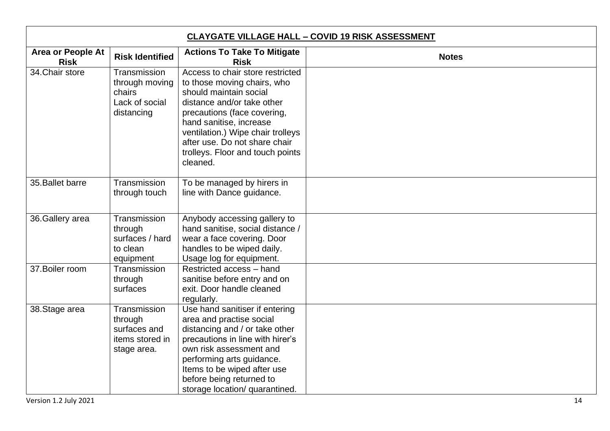| <b>CLAYGATE VILLAGE HALL - COVID 19 RISK ASSESSMENT</b> |                                                                           |                                                                                                                                                                                                                                                                                                         |              |
|---------------------------------------------------------|---------------------------------------------------------------------------|---------------------------------------------------------------------------------------------------------------------------------------------------------------------------------------------------------------------------------------------------------------------------------------------------------|--------------|
| Area or People At<br><b>Risk</b>                        | <b>Risk Identified</b>                                                    | <b>Actions To Take To Mitigate</b><br><b>Risk</b>                                                                                                                                                                                                                                                       | <b>Notes</b> |
| 34. Chair store                                         | Transmission<br>through moving<br>chairs<br>Lack of social<br>distancing  | Access to chair store restricted<br>to those moving chairs, who<br>should maintain social<br>distance and/or take other<br>precautions (face covering,<br>hand sanitise, increase<br>ventilation.) Wipe chair trolleys<br>after use. Do not share chair<br>trolleys. Floor and touch points<br>cleaned. |              |
| 35. Ballet barre                                        | Transmission<br>through touch                                             | To be managed by hirers in<br>line with Dance guidance.                                                                                                                                                                                                                                                 |              |
| 36. Gallery area                                        | Transmission<br>through<br>surfaces / hard<br>to clean<br>equipment       | Anybody accessing gallery to<br>hand sanitise, social distance /<br>wear a face covering. Door<br>handles to be wiped daily.<br>Usage log for equipment.                                                                                                                                                |              |
| 37. Boiler room                                         | Transmission<br>through<br>surfaces                                       | Restricted access - hand<br>sanitise before entry and on<br>exit. Door handle cleaned<br>regularly.                                                                                                                                                                                                     |              |
| 38. Stage area                                          | Transmission<br>through<br>surfaces and<br>items stored in<br>stage area. | Use hand sanitiser if entering<br>area and practise social<br>distancing and / or take other<br>precautions in line with hirer's<br>own risk assessment and<br>performing arts guidance.<br>Items to be wiped after use<br>before being returned to<br>storage location/ quarantined.                   |              |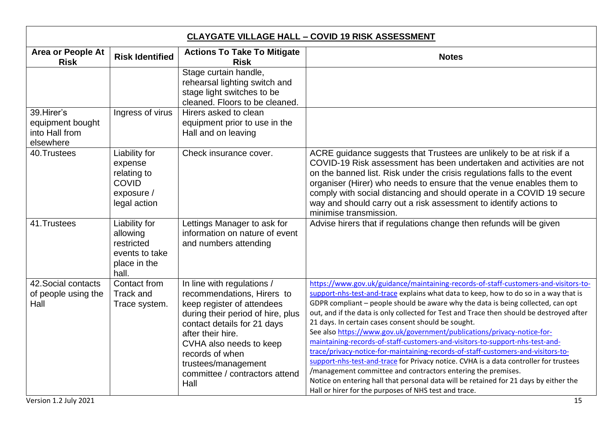| <b>CLAYGATE VILLAGE HALL - COVID 19 RISK ASSESSMENT</b>        |                                                                                       |                                                                                                                                                                                                                                                                                                |                                                                                                                                                                                                                                                                                                                                                                                                                                                                                                                                                                                                                                                                                                                                                                                                                                                                                                                                                                              |
|----------------------------------------------------------------|---------------------------------------------------------------------------------------|------------------------------------------------------------------------------------------------------------------------------------------------------------------------------------------------------------------------------------------------------------------------------------------------|------------------------------------------------------------------------------------------------------------------------------------------------------------------------------------------------------------------------------------------------------------------------------------------------------------------------------------------------------------------------------------------------------------------------------------------------------------------------------------------------------------------------------------------------------------------------------------------------------------------------------------------------------------------------------------------------------------------------------------------------------------------------------------------------------------------------------------------------------------------------------------------------------------------------------------------------------------------------------|
| Area or People At<br><b>Risk</b>                               | <b>Risk Identified</b>                                                                | <b>Actions To Take To Mitigate</b><br><b>Risk</b>                                                                                                                                                                                                                                              | <b>Notes</b>                                                                                                                                                                                                                                                                                                                                                                                                                                                                                                                                                                                                                                                                                                                                                                                                                                                                                                                                                                 |
|                                                                |                                                                                       | Stage curtain handle,<br>rehearsal lighting switch and<br>stage light switches to be<br>cleaned. Floors to be cleaned.                                                                                                                                                                         |                                                                                                                                                                                                                                                                                                                                                                                                                                                                                                                                                                                                                                                                                                                                                                                                                                                                                                                                                                              |
| 39. Hirer's<br>equipment bought<br>into Hall from<br>elsewhere | Ingress of virus                                                                      | Hirers asked to clean<br>equipment prior to use in the<br>Hall and on leaving                                                                                                                                                                                                                  |                                                                                                                                                                                                                                                                                                                                                                                                                                                                                                                                                                                                                                                                                                                                                                                                                                                                                                                                                                              |
| 40.Trustees                                                    | Liability for<br>expense<br>relating to<br><b>COVID</b><br>exposure /<br>legal action | Check insurance cover.                                                                                                                                                                                                                                                                         | ACRE guidance suggests that Trustees are unlikely to be at risk if a<br>COVID-19 Risk assessment has been undertaken and activities are not<br>on the banned list. Risk under the crisis regulations falls to the event<br>organiser (Hirer) who needs to ensure that the venue enables them to<br>comply with social distancing and should operate in a COVID 19 secure<br>way and should carry out a risk assessment to identify actions to<br>minimise transmission.                                                                                                                                                                                                                                                                                                                                                                                                                                                                                                      |
| 41.Trustees                                                    | Liability for<br>allowing<br>restricted<br>events to take<br>place in the<br>hall.    | Lettings Manager to ask for<br>information on nature of event<br>and numbers attending                                                                                                                                                                                                         | Advise hirers that if regulations change then refunds will be given                                                                                                                                                                                                                                                                                                                                                                                                                                                                                                                                                                                                                                                                                                                                                                                                                                                                                                          |
| 42. Social contacts<br>of people using the<br>Hall             | Contact from<br>Track and<br>Trace system.                                            | In line with regulations /<br>recommendations, Hirers to<br>keep register of attendees<br>during their period of hire, plus<br>contact details for 21 days<br>after their hire.<br>CVHA also needs to keep<br>records of when<br>trustees/management<br>committee / contractors attend<br>Hall | https://www.gov.uk/guidance/maintaining-records-of-staff-customers-and-visitors-to-<br>support-nhs-test-and-trace explains what data to keep, how to do so in a way that is<br>GDPR compliant - people should be aware why the data is being collected, can opt<br>out, and if the data is only collected for Test and Trace then should be destroyed after<br>21 days. In certain cases consent should be sought.<br>See also https://www.gov.uk/government/publications/privacy-notice-for-<br>maintaining-records-of-staff-customers-and-visitors-to-support-nhs-test-and-<br>trace/privacy-notice-for-maintaining-records-of-staff-customers-and-visitors-to-<br>support-nhs-test-and-trace for Privacy notice. CVHA is a data controller for trustees<br>/management committee and contractors entering the premises.<br>Notice on entering hall that personal data will be retained for 21 days by either the<br>Hall or hirer for the purposes of NHS test and trace. |
| Version 1.2 July 2021                                          |                                                                                       |                                                                                                                                                                                                                                                                                                | 15                                                                                                                                                                                                                                                                                                                                                                                                                                                                                                                                                                                                                                                                                                                                                                                                                                                                                                                                                                           |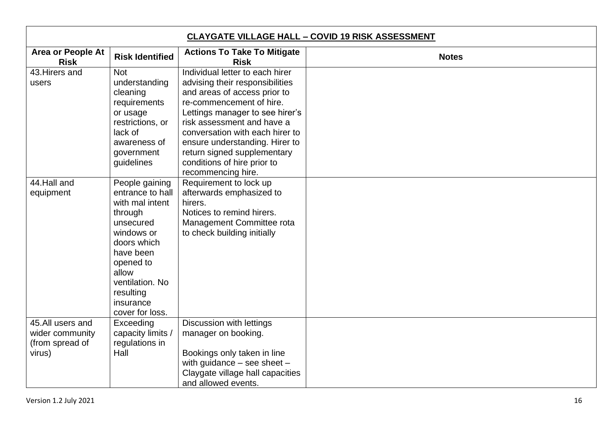| <b>CLAYGATE VILLAGE HALL - COVID 19 RISK ASSESSMENT</b>                                       |                                                                                                                                                                                                                                                                                                                       |                                                                                                                                                                                                                                                                                                                                                                                                                                                              |              |
|-----------------------------------------------------------------------------------------------|-----------------------------------------------------------------------------------------------------------------------------------------------------------------------------------------------------------------------------------------------------------------------------------------------------------------------|--------------------------------------------------------------------------------------------------------------------------------------------------------------------------------------------------------------------------------------------------------------------------------------------------------------------------------------------------------------------------------------------------------------------------------------------------------------|--------------|
| <b>Area or People At</b><br><b>Risk</b>                                                       | <b>Risk Identified</b>                                                                                                                                                                                                                                                                                                | <b>Actions To Take To Mitigate</b><br><b>Risk</b>                                                                                                                                                                                                                                                                                                                                                                                                            | <b>Notes</b> |
| 43. Hirers and                                                                                | <b>Not</b>                                                                                                                                                                                                                                                                                                            | Individual letter to each hirer                                                                                                                                                                                                                                                                                                                                                                                                                              |              |
| users                                                                                         | understanding                                                                                                                                                                                                                                                                                                         | advising their responsibilities                                                                                                                                                                                                                                                                                                                                                                                                                              |              |
|                                                                                               | cleaning                                                                                                                                                                                                                                                                                                              | and areas of access prior to                                                                                                                                                                                                                                                                                                                                                                                                                                 |              |
|                                                                                               | requirements                                                                                                                                                                                                                                                                                                          | re-commencement of hire.                                                                                                                                                                                                                                                                                                                                                                                                                                     |              |
|                                                                                               | or usage                                                                                                                                                                                                                                                                                                              | Lettings manager to see hirer's                                                                                                                                                                                                                                                                                                                                                                                                                              |              |
|                                                                                               | restrictions, or                                                                                                                                                                                                                                                                                                      | risk assessment and have a                                                                                                                                                                                                                                                                                                                                                                                                                                   |              |
|                                                                                               | lack of                                                                                                                                                                                                                                                                                                               | conversation with each hirer to                                                                                                                                                                                                                                                                                                                                                                                                                              |              |
|                                                                                               |                                                                                                                                                                                                                                                                                                                       |                                                                                                                                                                                                                                                                                                                                                                                                                                                              |              |
|                                                                                               |                                                                                                                                                                                                                                                                                                                       |                                                                                                                                                                                                                                                                                                                                                                                                                                                              |              |
|                                                                                               |                                                                                                                                                                                                                                                                                                                       |                                                                                                                                                                                                                                                                                                                                                                                                                                                              |              |
|                                                                                               |                                                                                                                                                                                                                                                                                                                       |                                                                                                                                                                                                                                                                                                                                                                                                                                                              |              |
|                                                                                               |                                                                                                                                                                                                                                                                                                                       |                                                                                                                                                                                                                                                                                                                                                                                                                                                              |              |
|                                                                                               |                                                                                                                                                                                                                                                                                                                       |                                                                                                                                                                                                                                                                                                                                                                                                                                                              |              |
|                                                                                               |                                                                                                                                                                                                                                                                                                                       |                                                                                                                                                                                                                                                                                                                                                                                                                                                              |              |
|                                                                                               |                                                                                                                                                                                                                                                                                                                       |                                                                                                                                                                                                                                                                                                                                                                                                                                                              |              |
|                                                                                               |                                                                                                                                                                                                                                                                                                                       |                                                                                                                                                                                                                                                                                                                                                                                                                                                              |              |
|                                                                                               |                                                                                                                                                                                                                                                                                                                       |                                                                                                                                                                                                                                                                                                                                                                                                                                                              |              |
|                                                                                               |                                                                                                                                                                                                                                                                                                                       |                                                                                                                                                                                                                                                                                                                                                                                                                                                              |              |
|                                                                                               |                                                                                                                                                                                                                                                                                                                       |                                                                                                                                                                                                                                                                                                                                                                                                                                                              |              |
|                                                                                               |                                                                                                                                                                                                                                                                                                                       |                                                                                                                                                                                                                                                                                                                                                                                                                                                              |              |
|                                                                                               |                                                                                                                                                                                                                                                                                                                       |                                                                                                                                                                                                                                                                                                                                                                                                                                                              |              |
|                                                                                               |                                                                                                                                                                                                                                                                                                                       |                                                                                                                                                                                                                                                                                                                                                                                                                                                              |              |
|                                                                                               |                                                                                                                                                                                                                                                                                                                       |                                                                                                                                                                                                                                                                                                                                                                                                                                                              |              |
|                                                                                               |                                                                                                                                                                                                                                                                                                                       |                                                                                                                                                                                                                                                                                                                                                                                                                                                              |              |
|                                                                                               |                                                                                                                                                                                                                                                                                                                       |                                                                                                                                                                                                                                                                                                                                                                                                                                                              |              |
|                                                                                               |                                                                                                                                                                                                                                                                                                                       |                                                                                                                                                                                                                                                                                                                                                                                                                                                              |              |
|                                                                                               |                                                                                                                                                                                                                                                                                                                       |                                                                                                                                                                                                                                                                                                                                                                                                                                                              |              |
|                                                                                               |                                                                                                                                                                                                                                                                                                                       |                                                                                                                                                                                                                                                                                                                                                                                                                                                              |              |
|                                                                                               |                                                                                                                                                                                                                                                                                                                       |                                                                                                                                                                                                                                                                                                                                                                                                                                                              |              |
|                                                                                               |                                                                                                                                                                                                                                                                                                                       |                                                                                                                                                                                                                                                                                                                                                                                                                                                              |              |
|                                                                                               |                                                                                                                                                                                                                                                                                                                       |                                                                                                                                                                                                                                                                                                                                                                                                                                                              |              |
| 44. Hall and<br>equipment<br>45.All users and<br>wider community<br>(from spread of<br>virus) | awareness of<br>government<br>guidelines<br>People gaining<br>entrance to hall<br>with mal intent<br>through<br>unsecured<br>windows or<br>doors which<br>have been<br>opened to<br>allow<br>ventilation. No<br>resulting<br>insurance<br>cover for loss.<br>Exceeding<br>capacity limits /<br>regulations in<br>Hall | ensure understanding. Hirer to<br>return signed supplementary<br>conditions of hire prior to<br>recommencing hire.<br>Requirement to lock up<br>afterwards emphasized to<br>hirers.<br>Notices to remind hirers.<br>Management Committee rota<br>to check building initially<br>Discussion with lettings<br>manager on booking.<br>Bookings only taken in line<br>with guidance $-$ see sheet $-$<br>Claygate village hall capacities<br>and allowed events. |              |